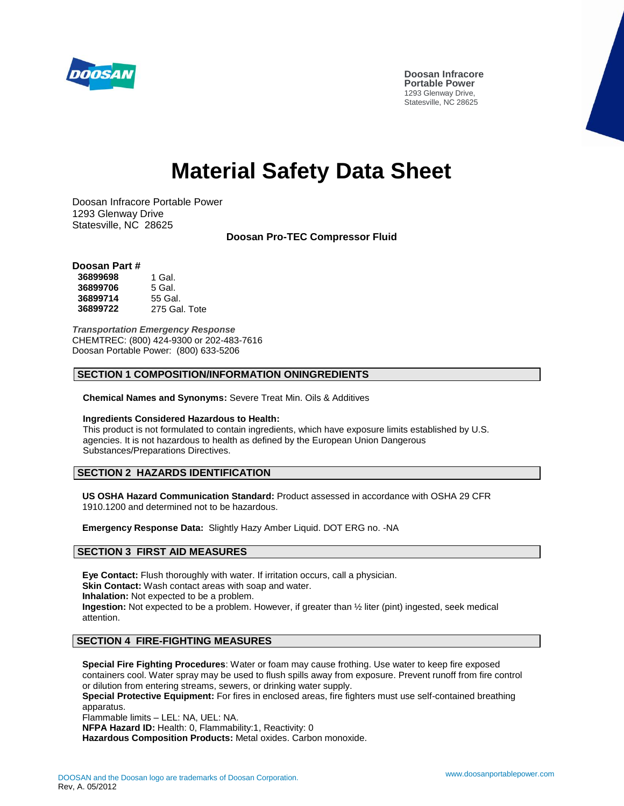

# **Material Safety Data Sheet**

Doosan Infracore Portable Power 1293 Glenway Drive Statesville, NC 28625

**Doosan Pro-TEC Compressor Fluid**

## **Doosan Part #**

| 36899698 | 1 Gal.        |
|----------|---------------|
| 36899706 | 5 Gal.        |
| 36899714 | 55 Gal.       |
| 36899722 | 275 Gal. Tote |

*Transportation Emergency Response* CHEMTREC: (800) 424-9300 or 202-483-7616 Doosan Portable Power: (800) 633-5206

#### **SECTION 1 COMPOSITION/INFORMATION ONINGREDIENTS**

**Chemical Names and Synonyms:** Severe Treat Min. Oils & Additives

#### **Ingredients Considered Hazardous to Health:**

This product is not formulated to contain ingredients, which have exposure limits established by U.S. agencies. It is not hazardous to health as defined by the European Union Dangerous Substances/Preparations Directives.

## **SECTION 2 HAZARDS IDENTIFICATION**

**US OSHA Hazard Communication Standard:** Product assessed in accordance with OSHA 29 CFR 1910.1200 and determined not to be hazardous.

**Emergency Response Data:** Slightly Hazy Amber Liquid. DOT ERG no. -NA

## **SECTION 3 FIRST AID MEASURES**

**Eye Contact:** Flush thoroughly with water. If irritation occurs, call a physician. **Skin Contact:** Wash contact areas with soap and water. **Inhalation:** Not expected to be a problem. **Ingestion:** Not expected to be a problem. However, if greater than ½ liter (pint) ingested, seek medical attention.

## **SECTION 4 FIRE-FIGHTING MEASURES**

**Special Fire Fighting Procedures**: Water or foam may cause frothing. Use water to keep fire exposed containers cool. Water spray may be used to flush spills away from exposure. Prevent runoff from fire control or dilution from entering streams, sewers, or drinking water supply.

**Special Protective Equipment:** For fires in enclosed areas, fire fighters must use self-contained breathing apparatus.

Flammable limits – LEL: NA, UEL: NA.

**NFPA Hazard ID:** Health: 0, Flammability:1, Reactivity: 0 **Hazardous Composition Products:** Metal oxides. Carbon monoxide.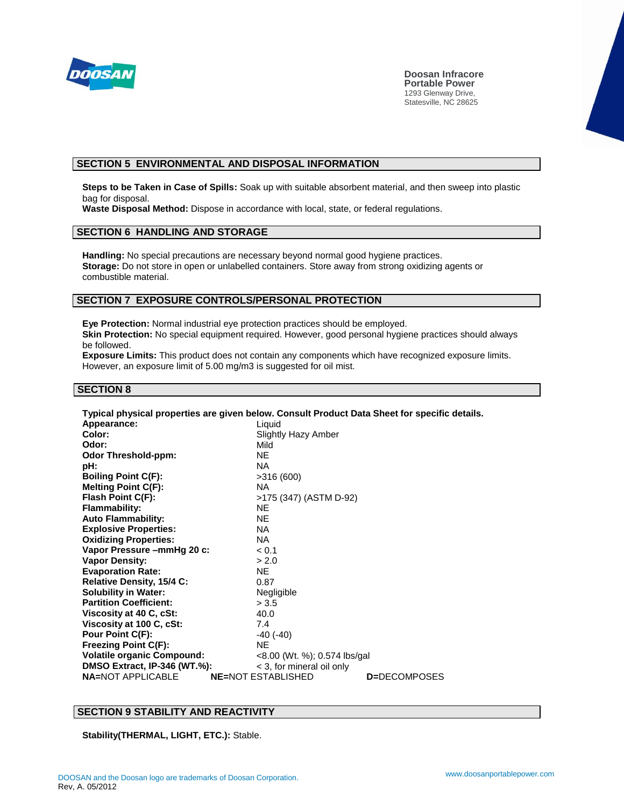

**Doosan Infracore Portable Power** 1293 Glenway Drive, Statesville, NC 28625

# **SECTION 5 ENVIRONMENTAL AND DISPOSAL INFORMATION**

**Steps to be Taken in Case of Spills:** Soak up with suitable absorbent material, and then sweep into plastic bag for disposal.

**Waste Disposal Method:** Dispose in accordance with local, state, or federal regulations.

## **SECTION 6 HANDLING AND STORAGE**

**Handling:** No special precautions are necessary beyond normal good hygiene practices. **Storage:** Do not store in open or unlabelled containers. Store away from strong oxidizing agents or combustible material.

#### **SECTION 7 EXPOSURE CONTROLS/PERSONAL PROTECTION**

**Eye Protection:** Normal industrial eye protection practices should be employed. **Skin Protection:** No special equipment required. However, good personal hygiene practices should always be followed.

**Exposure Limits:** This product does not contain any components which have recognized exposure limits. However, an exposure limit of 5.00 mg/m3 is suggested for oil mist.

## **SECTION 8**

| Typical physical properties are given below. Consult Product Data Sheet for specific details. |                                                   |
|-----------------------------------------------------------------------------------------------|---------------------------------------------------|
| Appearance:                                                                                   | Liquid                                            |
| Color:                                                                                        | Slightly Hazy Amber                               |
| Odor:                                                                                         | Mild                                              |
| <b>Odor Threshold-ppm:</b>                                                                    | NE.                                               |
| pH:                                                                                           | NA.                                               |
| <b>Boiling Point C(F):</b>                                                                    | >316(600)                                         |
| <b>Melting Point C(F):</b>                                                                    | <b>NA</b>                                         |
| Flash Point C(F):                                                                             | >175 (347) (ASTM D-92)                            |
| <b>Flammability:</b>                                                                          | <b>NF</b>                                         |
| <b>Auto Flammability:</b>                                                                     | <b>NE</b>                                         |
| <b>Explosive Properties:</b>                                                                  | NA.                                               |
| <b>Oxidizing Properties:</b>                                                                  | NA.                                               |
| Vapor Pressure – mm Hq 20 c:                                                                  | < 0.1                                             |
| <b>Vapor Density:</b>                                                                         | > 2.0                                             |
| <b>Evaporation Rate:</b>                                                                      | NF.                                               |
| Relative Density, 15/4 C:                                                                     | 0.87                                              |
| <b>Solubility in Water:</b>                                                                   | Negligible                                        |
| <b>Partition Coefficient:</b>                                                                 | > 3.5                                             |
| Viscosity at 40 C, cSt:                                                                       | 40.0                                              |
| Viscosity at 100 C, cSt:                                                                      | 7.4                                               |
| Pour Point C(F):                                                                              | $-40$ ( $-40$ )                                   |
| <b>Freezing Point C(F):</b>                                                                   | <b>NE</b>                                         |
| <b>Volatile organic Compound:</b>                                                             | $<$ 8.00 (Wt. %); 0.574 lbs/gal                   |
| <b>DMSO Extract, IP-346 (WT.%):</b>                                                           | < 3, for mineral oil only                         |
| <b>NA=NOT APPLICABLE</b>                                                                      | <b>NE=NOT ESTABLISHED</b><br><b>D</b> =DECOMPOSES |

## **SECTION 9 STABILITY AND REACTIVITY**

**Stability(THERMAL, LIGHT, ETC.):** Stable.